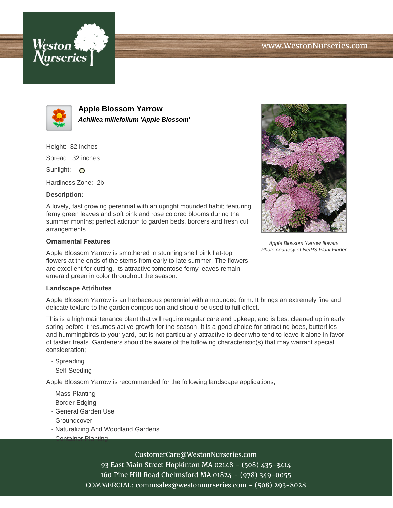



**Apple Blossom Yarrow Achillea millefolium 'Apple Blossom'**

Height: 32 inches

Spread: 32 inches

Sunlight: O

Hardiness Zone: 2b

### **Description:**

A lovely, fast growing perennial with an upright mounded habit; featuring ferny green leaves and soft pink and rose colored blooms during the summer months; perfect addition to garden beds, borders and fresh cut arrangements

### **Ornamental Features**

Apple Blossom Yarrow is smothered in stunning shell pink flat-top flowers at the ends of the stems from early to late summer. The flowers are excellent for cutting. Its attractive tomentose ferny leaves remain emerald green in color throughout the season.

### **Landscape Attributes**

Apple Blossom Yarrow is an herbaceous perennial with a mounded form. It brings an extremely fine and delicate texture to the garden composition and should be used to full effect.

This is a high maintenance plant that will require regular care and upkeep, and is best cleaned up in early spring before it resumes active growth for the season. It is a good choice for attracting bees, butterflies and hummingbirds to your yard, but is not particularly attractive to deer who tend to leave it alone in favor of tastier treats. Gardeners should be aware of the following characteristic(s) that may warrant special consideration;

- Spreading
- Self-Seeding

Apple Blossom Yarrow is recommended for the following landscape applications;

- Mass Planting
- Border Edging
- General Garden Use
- Groundcover
- Naturalizing And Woodland Gardens
- Container Planting

# CustomerCare@WestonNurseries.com

93 East Main Street Hopkinton MA 02148 - (508) 435-3414 160 Pine Hill Road Chelmsford MA 01824 - (978) 349-0055 COMMERCIAL: commsales@westonnurseries.com - (508) 293-8028



Apple Blossom Yarrow flowers Photo courtesy of NetPS Plant Finder